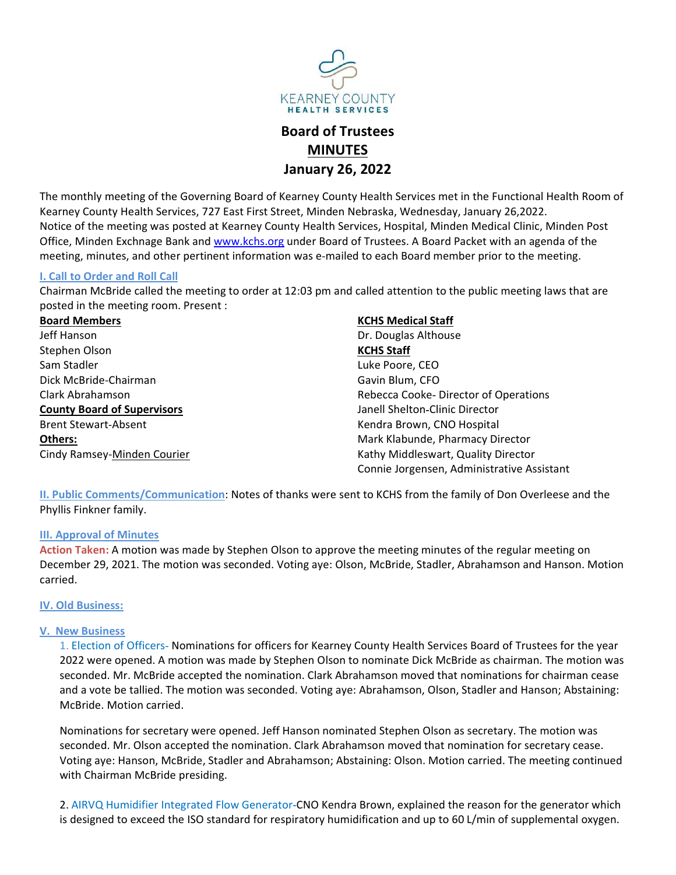

# MINUTES

EARNEY COUNTY<br>
HEALTH SERVICES<br> **Board of Trustees**<br> **MINUTES**<br>
Learney County Health Services met in the Functional Health Room of<br>
eet, Minden Nebraska, Wednesday, January 26,2022.<br>
The Health Services, Hospital, Minden THE MONTHY THE MATTENT SERVICES<br> **THE MONTH THE SERVICES**<br> **THE MONTH THES**<br> **THE MONTH MATTES**<br> **THE MONTH MATTES**<br> **THE MONTH MATTENT SERVICES**<br> **THE MONTH MATTES**<br> **NATTE MONTH AND SERVICES**<br> **NATTE MONTH AND MATTES**<br> KEARIEY COUNTY<br>
HEALTH SERVICES<br> **Board of Trustees**<br> **Board of Trustees**<br> **County Health Services, 727 East First Street, Minden Nebraska, Wednesday, January 26,2022.<br>
The monthly meeting of the Governing Board of Kearney** Notice of the meeting was posted at Kearney County Health Services, Hospital, Minden Medical Clinic, Minden Post Exchange Bank and www.kchs.org under Board of Trustees.<br> **Board of Trustees.**<br> **Board of Trustees.**<br> **Community 26, 2022**<br>
The monthly meeting of the Governing Board of Kearney County Health Services met in the Functional **EXERENT COUNTY**<br> **MEATTHES**<br> **BOARD OF TITS EXECUTE STAND AND THES**<br> **BOARD OF TITS EXECUTES**<br> **BOARD OF TITS EXECUTES**<br> **READMEY DRIGHTS AND AND THES**<br> **READMEY COUNTY HEAD ASSAS, WE ARREST AND THE MEATTH INFORMATION WAS** EXERIBITY<br>
INCEARING COUNTY<br> **INCEARING COUNTY**<br> **INCES BOARD OF Trustees<br>
MINUTES<br>
January 26, 2022**<br>
The monthly meeting of the Governing Board of Kearney County Health Services met in the Funct<br>
Kearney County Health Se CHAIRMEY COUNTY<br>
MEALTH SERVIC COUNTY<br>
MEALTH SERVICES<br> **Board of Trustees**<br> **MINUTES**<br> **Chairman McBride called the Governing Board of Kearney County Health Services met in the Functional Health Room of<br>
Rearney County H** UNTTY<br>
vices<br> **SSES CONTEX CONTEX CONTEX CONTENT**<br> **REGIST 2022**<br>
Health Services met in the Functional Health Room of<br>
behavior, Mospital, Minden Medical Clinic, Minden Post<br>
f Trustees. A Board Packet with an agenda of t

|                                                               | KEARNEYC<br><b>HEALTH SERVICES</b>                                                                                                                                                                                                                                                                                                                                                                                                                                                                                                                                       |
|---------------------------------------------------------------|--------------------------------------------------------------------------------------------------------------------------------------------------------------------------------------------------------------------------------------------------------------------------------------------------------------------------------------------------------------------------------------------------------------------------------------------------------------------------------------------------------------------------------------------------------------------------|
|                                                               | <b>Board of Trustees</b><br><b>MINUTES</b><br><b>January 26, 2022</b>                                                                                                                                                                                                                                                                                                                                                                                                                                                                                                    |
|                                                               | The monthly meeting of the Governing Board of Kearney County Health Services met in the Functional Health Room of<br>Kearney County Health Services, 727 East First Street, Minden Nebraska, Wednesday, January 26,2022.<br>Notice of the meeting was posted at Kearney County Health Services, Hospital, Minden Medical Clinic, Minden Post<br>Office, Minden Exchnage Bank and www.kchs.org under Board of Trustees. A Board Packet with an agenda of the<br>meeting, minutes, and other pertinent information was e-mailed to each Board member prior to the meeting. |
| <b>I. Call to Order and Roll Call</b>                         |                                                                                                                                                                                                                                                                                                                                                                                                                                                                                                                                                                          |
|                                                               | Chairman McBride called the meeting to order at 12:03 pm and called attention to the public meeting laws that are                                                                                                                                                                                                                                                                                                                                                                                                                                                        |
| posted in the meeting room. Present :<br><b>Board Members</b> | <b>KCHS Medical Staff</b>                                                                                                                                                                                                                                                                                                                                                                                                                                                                                                                                                |
| Jeff Hanson                                                   | Dr. Douglas Althouse                                                                                                                                                                                                                                                                                                                                                                                                                                                                                                                                                     |
| Stephen Olson                                                 | <b>KCHS Staff</b>                                                                                                                                                                                                                                                                                                                                                                                                                                                                                                                                                        |
| Sam Stadler                                                   | Luke Poore, CEO                                                                                                                                                                                                                                                                                                                                                                                                                                                                                                                                                          |
| Dick McBride-Chairman                                         | Gavin Blum, CFO                                                                                                                                                                                                                                                                                                                                                                                                                                                                                                                                                          |
| Clark Abrahamson                                              | Rebecca Cooke-Director of Operations                                                                                                                                                                                                                                                                                                                                                                                                                                                                                                                                     |
| <b>County Board of Supervisors</b>                            | Janell Shelton-Clinic Director                                                                                                                                                                                                                                                                                                                                                                                                                                                                                                                                           |
| <b>Brent Stewart-Absent</b>                                   | Kendra Brown, CNO Hospital                                                                                                                                                                                                                                                                                                                                                                                                                                                                                                                                               |
| Others:                                                       | Mark Klabunde, Pharmacy Director                                                                                                                                                                                                                                                                                                                                                                                                                                                                                                                                         |
| Cindy Ramsey-Minden Courier                                   | Kathy Middleswart, Quality Director<br>Connie Jorgensen, Administrative Assistant                                                                                                                                                                                                                                                                                                                                                                                                                                                                                        |
| Phyllis Finkner family.                                       | II. Public Comments/Communication: Notes of thanks were sent to KCHS from the family of Don Overleese and the                                                                                                                                                                                                                                                                                                                                                                                                                                                            |
|                                                               |                                                                                                                                                                                                                                                                                                                                                                                                                                                                                                                                                                          |
| <b>III. Approval of Minutes</b>                               | Action Taken: A motion was made by Stephen Olson to approve the meeting minutes of the regular meeting on                                                                                                                                                                                                                                                                                                                                                                                                                                                                |
|                                                               | December 29, 2021. The motion was seconded. Voting aye: Olson, McBride, Stadler, Abrahamson and Hanson. Motion                                                                                                                                                                                                                                                                                                                                                                                                                                                           |
| carried.                                                      |                                                                                                                                                                                                                                                                                                                                                                                                                                                                                                                                                                          |
| <b>IV. Old Business:</b>                                      |                                                                                                                                                                                                                                                                                                                                                                                                                                                                                                                                                                          |
| <b>V. New Business</b><br>McBride. Motion carried.            | 1. Election of Officers- Nominations for officers for Kearney County Health Services Board of Trustees for the year<br>2022 were opened. A motion was made by Stephen Olson to nominate Dick McBride as chairman. The motion was<br>seconded. Mr. McBride accepted the nomination. Clark Abrahamson moved that nominations for chairman cease<br>and a vote be tallied. The motion was seconded. Voting aye: Abrahamson, Olson, Stadler and Hanson; Abstaining:                                                                                                          |
|                                                               | Nominations for secretary were opened. Jeff Hanson nominated Stephen Olson as secretary. The motion was                                                                                                                                                                                                                                                                                                                                                                                                                                                                  |

seconded. Mr. McBride accepted the nomination. Clark Abrahamson, Otologia and Seconded. Mr. Usive the nomination: Notes of thanks were sent to KCHS from the family of Don Overleese and the SHEM in Seconded. Clark Abbande, Entertwoord a vote be tallied. The motion was seconded. Voting aye: Abrahamson, CDO Hospital<br>
Mark Rabunde, Pharmacy Director Connie Jorgensen, Administrative Assistant<br>
Unit Comments/Communication: Notes of thanks were se Mark Klabunde, Pharmacy Direction Consister Mark Conneis Conneis Conneis Conneis Conneis Conneis Conneis Conneis Conneis Conneis Conneis Conneis Conneis Conneis Conneis Conneis Conneis Conneis Conneis Conneis Conneis Conne Nominations for secretary were opened. Jeff Hanson nominated Stephen Olson as secretary. The method Cominications: Notes of thanks were sent to KCHS from the family of Don Overleese and the<br>Ullis Finkner family,<br>
Norminati Conne orgensen, Aammistrative Assistant<br>
Sills Finkner family,<br>
Naproval of Minutes<br>
Naproval of Minutes<br>
Naproval of Minutes<br>
Naproval of Minutes<br>
The notion was made by Stephen Olson to approve the meeting minutes of the ublic Comments/Communication: Notes of thanks were sent to KCHS from the family of Don Overleese and the list Finkner family.<br>
Note The The McBride, the McBride, the method of the method of the method of the regular meetin Ellis Finkner family.<br>Ills Finkner family.<br>Naproval of Minutes<br>on Taken: A motion was made by Stephen Olson to approve the meeting minutes of the regular non-<br>Phember 29, 2021. The motion was seconded. Voting aye: Olson, M Naproval of Minutes<br>on Taken: A motion was made by Stephen Olson to approve the meeting minutes of the regular meeting on<br>ember 29, 2021. The motion was seconded. Voting aye: Olson, McBride, Stadler, Abrahamson and Hanson. on Taken: A motion was made by Stephen Olson to approve the meeting minutes of the regular meeting on ember 29, 2021. The motion was seconded. Voting aye: Olson, McBride, Stadler, Abrahamson and Hanson. Motion bed.<br>Did Bus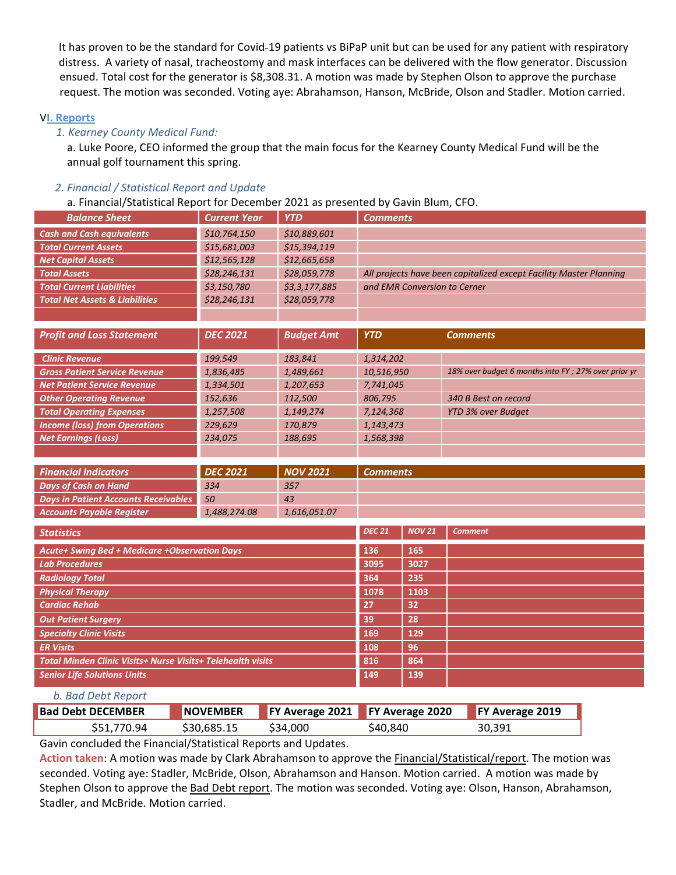It has proven to be the standard for Covid-19 patients vs BiPaP unit but can be used for any patient with respiratory<br>distress. A variety of nasal, tracheostomy and mask interfaces can be delivered with the flow generator. It has proven to be the standard for Covid-19 patients vs BiPaP unit but can be used for any patient with respiratory<br>distress. A variety of nasal, tracheostomy and mask interfaces can be delivered with the flow generator. It has proven to be the standard for Covid-19 patients vs BiPaP unit but can be used for any patient with respiratory<br>distress. A variety of nasal, tracheostomy and mask interfaces can be delivered with the flow generator. It has proven to be the standard for Covid-19 patients vs BiPaP unit but can be used for any patient with respiratory<br>distress. A variety of nasal, tracheostomy and mask interfaces can be delivered with the flow generator. It has proven to be the standard for Covid-19 patients vs BiPaP unit but c<br>distress. A variety of nasal, tracheostomy and mask interfaces can be del<br>ensued. Total cost for the generator is \$8,308.31. A motion was made by<br> It has proven to be the standard for Covid-19 patients vs BiPaP unit but can be used for any patient<br>distress. A variety of nasal, tracheostomy and mask interfaces can be delivered with the flow genera<br>ensued. Total cost f has proven to be the standard for Covid-19 patients vs BiPaP unit but can be used for any patient with respiratory<br>stress. A variety of nasal, tracheostomy and mask interfaces can be delivered with the flow generator. Disc has proven to be the standard for Covid-19 patients vs BiPaP unit but can be used for any patient with<br>stress. A variety of nasal, tracheostomy and mask interfaces can be delivered with the flow generator<br>sued. Total cost

|                                                                                                          |                              |                              |                                                                    |                 | It has proven to be the standard for Covid-19 patients vs BiPaP unit but can be used for any patient with respiratory<br>distress. A variety of nasal, tracheostomy and mask interfaces can be delivered with the flow generator. Discussion |  |  |  |
|----------------------------------------------------------------------------------------------------------|------------------------------|------------------------------|--------------------------------------------------------------------|-----------------|----------------------------------------------------------------------------------------------------------------------------------------------------------------------------------------------------------------------------------------------|--|--|--|
|                                                                                                          |                              |                              |                                                                    |                 | ensued. Total cost for the generator is \$8,308.31. A motion was made by Stephen Olson to approve the purchase                                                                                                                               |  |  |  |
|                                                                                                          |                              |                              |                                                                    |                 | request. The motion was seconded. Voting aye: Abrahamson, Hanson, McBride, Olson and Stadler. Motion carried.                                                                                                                                |  |  |  |
|                                                                                                          |                              |                              |                                                                    |                 |                                                                                                                                                                                                                                              |  |  |  |
| <b>VI. Reports</b>                                                                                       |                              |                              |                                                                    |                 |                                                                                                                                                                                                                                              |  |  |  |
| 1. Kearney County Medical Fund:                                                                          |                              |                              |                                                                    |                 | a. Luke Poore, CEO informed the group that the main focus for the Kearney County Medical Fund will be the                                                                                                                                    |  |  |  |
| annual golf tournament this spring.                                                                      |                              |                              |                                                                    |                 |                                                                                                                                                                                                                                              |  |  |  |
|                                                                                                          |                              |                              |                                                                    |                 |                                                                                                                                                                                                                                              |  |  |  |
| 2. Financial / Statistical Report and Update                                                             |                              |                              |                                                                    |                 |                                                                                                                                                                                                                                              |  |  |  |
| a. Financial/Statistical Report for December 2021 as presented by Gavin Blum, CFO.                       |                              |                              |                                                                    |                 |                                                                                                                                                                                                                                              |  |  |  |
| <b>Balance Sheet</b>                                                                                     | <b>Current Year</b>          | <b>YTD</b>                   | <b>Comments</b>                                                    |                 |                                                                                                                                                                                                                                              |  |  |  |
| <b>Cash and Cash equivalents</b><br><b>Total Current Assets</b>                                          | \$10,764,150<br>\$15,681,003 | \$10,889,601<br>\$15,394,119 |                                                                    |                 |                                                                                                                                                                                                                                              |  |  |  |
| <b>Net Capital Assets</b>                                                                                | \$12,565,128                 | \$12,665,658                 |                                                                    |                 |                                                                                                                                                                                                                                              |  |  |  |
| <b>Total Assets</b>                                                                                      | \$28,246,131                 | \$28,059,778                 | All projects have been capitalized except Facility Master Planning |                 |                                                                                                                                                                                                                                              |  |  |  |
| <b>Total Current Liabilities</b>                                                                         | \$3,150,780                  | \$3,3,177,885                |                                                                    |                 | and EMR Conversion to Cerner                                                                                                                                                                                                                 |  |  |  |
| <b>Total Net Assets &amp; Liabilities</b>                                                                | \$28,246,131                 | \$28,059,778                 |                                                                    |                 |                                                                                                                                                                                                                                              |  |  |  |
| <b>Profit and Loss Statement</b>                                                                         | <b>DEC 2021</b>              | <b>Budget Amt</b>            | <b>YTD</b>                                                         |                 | <b>Comments</b>                                                                                                                                                                                                                              |  |  |  |
| <b>Clinic Revenue</b>                                                                                    | 199,549                      | 183,841                      | 1,314,202                                                          |                 |                                                                                                                                                                                                                                              |  |  |  |
| <b>Gross Patient Service Revenue</b>                                                                     | 1,836,485                    | 1,489,661                    | 10,516,950                                                         |                 | 18% over budget 6 months into FY; 27% over prior yr                                                                                                                                                                                          |  |  |  |
| <b>Net Patient Service Revenue</b>                                                                       | 1,334,501                    | 1,207,653                    | 7,741,045                                                          |                 |                                                                                                                                                                                                                                              |  |  |  |
| <b>Other Operating Revenue</b><br><b>Total Operating Expenses</b>                                        | 152,636<br>1,257,508         | 112,500<br>1,149,274         | 806,795<br>7,124,368                                               |                 | 340 B Best on record<br>YTD 3% over Budget                                                                                                                                                                                                   |  |  |  |
| <b>Income (loss) from Operations</b>                                                                     | 229,629                      | 170,879                      | 1,143,473                                                          |                 |                                                                                                                                                                                                                                              |  |  |  |
| <b>Net Earnings (Loss)</b>                                                                               | 234,075                      | 188,695                      | 1,568,398                                                          |                 |                                                                                                                                                                                                                                              |  |  |  |
|                                                                                                          |                              |                              |                                                                    |                 |                                                                                                                                                                                                                                              |  |  |  |
| <b>Financial Indicators</b>                                                                              | <b>DEC 2021</b>              | <b>NOV 2021</b>              | <b>Comments</b>                                                    |                 |                                                                                                                                                                                                                                              |  |  |  |
| <b>Days of Cash on Hand</b>                                                                              | 334                          | 357                          |                                                                    |                 |                                                                                                                                                                                                                                              |  |  |  |
| <b>Days in Patient Accounts Receivables</b>                                                              | 50                           | 43                           |                                                                    |                 |                                                                                                                                                                                                                                              |  |  |  |
| <b>Accounts Payable Register</b>                                                                         | 1,488,274.08                 | 1,616,051.07                 |                                                                    |                 |                                                                                                                                                                                                                                              |  |  |  |
| <b>Statistics</b>                                                                                        |                              |                              | <b>DEC 21</b>                                                      | <b>NOV 21</b>   | <b>Comment</b>                                                                                                                                                                                                                               |  |  |  |
| <b>Acute+ Swing Bed + Medicare +Observation Days</b>                                                     |                              |                              | 136                                                                | 165             |                                                                                                                                                                                                                                              |  |  |  |
| <b>Lab Procedures</b>                                                                                    |                              |                              | 3095                                                               | 3027            |                                                                                                                                                                                                                                              |  |  |  |
| <b>Radiology Total</b><br><b>Physical Therapy</b>                                                        |                              |                              | 364<br>1078                                                        | 235<br>1103     |                                                                                                                                                                                                                                              |  |  |  |
| <b>Cardiac Rehab</b>                                                                                     |                              |                              | 27                                                                 | 32              |                                                                                                                                                                                                                                              |  |  |  |
| <b>Out Patient Surgery</b>                                                                               |                              |                              | 39                                                                 | 28              |                                                                                                                                                                                                                                              |  |  |  |
| <b>Specialty Clinic Visits</b>                                                                           |                              |                              | 169                                                                | 129             |                                                                                                                                                                                                                                              |  |  |  |
| <b>ER Visits</b>                                                                                         |                              |                              | 108                                                                | 96              |                                                                                                                                                                                                                                              |  |  |  |
| <b>Total Minden Clinic Visits+ Nurse Visits+ Telehealth visits</b><br><b>Senior Life Solutions Units</b> |                              |                              | 816<br>149                                                         | 864<br>139      |                                                                                                                                                                                                                                              |  |  |  |
|                                                                                                          |                              |                              |                                                                    |                 |                                                                                                                                                                                                                                              |  |  |  |
| b. Bad Debt Report                                                                                       |                              |                              |                                                                    |                 |                                                                                                                                                                                                                                              |  |  |  |
| <b>Bad Debt DECEMBER</b>                                                                                 | <b>NOVEMBER</b>              | FY Average 2021              |                                                                    | FY Average 2020 | FY Average 2019                                                                                                                                                                                                                              |  |  |  |
| \$51,770.94                                                                                              | \$30,685.15                  | \$34,000                     | \$40,840                                                           |                 | 30,391                                                                                                                                                                                                                                       |  |  |  |
| Gavin concluded the Financial/Statistical Reports and Updates.                                           |                              |                              |                                                                    |                 |                                                                                                                                                                                                                                              |  |  |  |
|                                                                                                          |                              |                              |                                                                    |                 | Action taken: A motion was made by Clark Abrahamson to approve the <b>Financial/Statistical/report</b> . The motion was<br>seconded. Voting aye: Stadler, McBride, Olson, Abrahamson and Hanson. Motion carried. A motion was made by        |  |  |  |
|                                                                                                          |                              |                              |                                                                    |                 | Stephen Olson to approve the Bad Debt report. The motion was seconded. Voting aye: Olson, Hanson, Abrahamson,                                                                                                                                |  |  |  |
| Stadler, and McBride. Motion carried.                                                                    |                              |                              |                                                                    |                 |                                                                                                                                                                                                                                              |  |  |  |
|                                                                                                          |                              |                              |                                                                    |                 |                                                                                                                                                                                                                                              |  |  |  |
|                                                                                                          |                              |                              |                                                                    |                 |                                                                                                                                                                                                                                              |  |  |  |
|                                                                                                          |                              |                              |                                                                    |                 |                                                                                                                                                                                                                                              |  |  |  |
|                                                                                                          |                              |                              |                                                                    |                 |                                                                                                                                                                                                                                              |  |  |  |
|                                                                                                          |                              |                              |                                                                    |                 |                                                                                                                                                                                                                                              |  |  |  |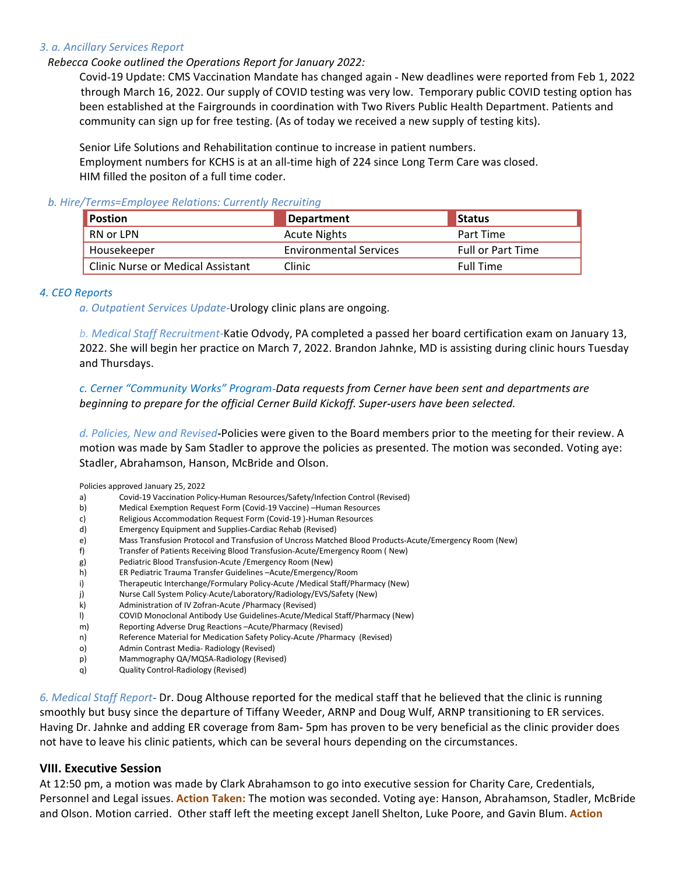3. a. Ancillary Services Report<br>
Rebecca Cooke outlined the Operations Report for January 2022:<br>
Covid-19 Update: CMS Vaccination Mandate has changed again - New deadlines were re<br>
through March 16, 2022. Our supply of COV a. Ancillary Services Report<br>Rebecca Cooke outlined the Operations Report for January 2022:<br>Covid-19 Update: CMS Vaccination Mandate has changed again - New deadlines were reported from Feb 1, 2022<br>through March 16, 2022. cillary Services Report<br>Covid-19 Update: CMS Vaccination Mandate has changed again - New deadlines were reported from Feb 1, 2022<br>through March 16, 2022. Our supply of COVID testing was very low. Temporary public COVID tes illary Services Report<br>a Cooke outlined the Operations Report for January 2022:<br>Covid-19 Update: CMS Vaccination Mandate has changed again - New deadlines were reported from Feb 1, 2022<br>through March 16, 2022. Our supply o cillary Services Report<br>ca Cooke outlined the Operations Report for January 2022:<br>Covid-19 Update: CMS Vaccination Mandate has changed again - New deadlines were reported from Feb 1, 2022<br>through March 16, 2022. Our supply cillary Services Report<br>ca Cooke outlined the Operations Report for January 2022:<br>Covid-19 Update: CMS Vaccination Mandate has changed again - New deadlines were reported from Feb 1, 2022<br>through March 16, 2022. Our supply Fillary Services Report<br>
Cord-19 Update: CMS vaccination Mandate has changed again - New deadlines were reported from Feb 1, 2022<br>
Covid-19 Update: CMS vaccination Mandate has changed again - New deadlines were reported fr Employee Report<br>
Employees Report for January 2022:<br>
Covid-19 Update: CMS Vaccination Mandate has changed again - New deadlines were reported from Feb 1, 2022<br>
through March 16, 2022. Our supply of COVID testing was very l Ellary Services Report<br>
Car Cooke outlined the Operations Report for January 2022:<br>
Covid-19 Update: CMS Vaccination Mandate has changed again - New deadlines were reported from Feb 1, 2<br>
through March 16, 2022. Our supply

| 3. a. Ancillary Services Report                                                                                                                                                                                             |                                                                                                        |                          |
|-----------------------------------------------------------------------------------------------------------------------------------------------------------------------------------------------------------------------------|--------------------------------------------------------------------------------------------------------|--------------------------|
| Rebecca Cooke outlined the Operations Report for January 2022:                                                                                                                                                              |                                                                                                        |                          |
| Covid-19 Update: CMS Vaccination Mandate has changed again - New deadlines were reported from Feb 1, 2022<br>through March 16, 2022. Our supply of COVID testing was very low. Temporary public COVID testing option has    |                                                                                                        |                          |
| been established at the Fairgrounds in coordination with Two Rivers Public Health Department. Patients and                                                                                                                  |                                                                                                        |                          |
| community can sign up for free testing. (As of today we received a new supply of testing kits).                                                                                                                             |                                                                                                        |                          |
| Senior Life Solutions and Rehabilitation continue to increase in patient numbers.                                                                                                                                           |                                                                                                        |                          |
| Employment numbers for KCHS is at an all-time high of 224 since Long Term Care was closed.                                                                                                                                  |                                                                                                        |                          |
| HIM filled the positon of a full time coder.                                                                                                                                                                                |                                                                                                        |                          |
| b. Hire/Terms=Employee Relations: Currently Recruiting                                                                                                                                                                      |                                                                                                        |                          |
| Postion                                                                                                                                                                                                                     | <b>Department</b>                                                                                      | <b>Status</b>            |
| RN or LPN                                                                                                                                                                                                                   | <b>Acute Nights</b>                                                                                    | Part Time                |
| Housekeeper                                                                                                                                                                                                                 | <b>Environmental Services</b>                                                                          | <b>Full or Part Time</b> |
|                                                                                                                                                                                                                             | Clinic                                                                                                 | <b>Full Time</b>         |
|                                                                                                                                                                                                                             |                                                                                                        |                          |
| <b>Clinic Nurse or Medical Assistant</b>                                                                                                                                                                                    |                                                                                                        |                          |
|                                                                                                                                                                                                                             |                                                                                                        |                          |
|                                                                                                                                                                                                                             |                                                                                                        |                          |
| 4. CEO Reports<br>a. Outpatient Services Update-Urology clinic plans are ongoing.                                                                                                                                           |                                                                                                        |                          |
| b. Medical Staff Recruitment-Katie Odvody, PA completed a passed her board certification exam on January 13,                                                                                                                |                                                                                                        |                          |
| 2022. She will begin her practice on March 7, 2022. Brandon Jahnke, MD is assisting during clinic hours Tuesday                                                                                                             |                                                                                                        |                          |
| and Thursdays.                                                                                                                                                                                                              |                                                                                                        |                          |
|                                                                                                                                                                                                                             |                                                                                                        |                          |
| c. Cerner "Community Works" Program-Data requests from Cerner have been sent and departments are<br>beginning to prepare for the official Cerner Build Kickoff. Super-users have been selected.                             |                                                                                                        |                          |
|                                                                                                                                                                                                                             |                                                                                                        |                          |
| d. Policies, New and Revised-Policies were given to the Board members prior to the meeting for their review. A<br>motion was made by Sam Stadler to approve the policies as presented. The motion was seconded. Voting aye: |                                                                                                        |                          |
| Stadler, Abrahamson, Hanson, McBride and Olson.                                                                                                                                                                             |                                                                                                        |                          |
|                                                                                                                                                                                                                             |                                                                                                        |                          |
| Policies approved January 25, 2022<br>Covid-19 Vaccination Policy-Human Resources/Safety/Infection Control (Revised)<br>a)                                                                                                  |                                                                                                        |                          |
| Medical Exemption Request Form (Covid-19 Vaccine) -Human Resources<br>b)<br>Religious Accommodation Request Form (Covid-19)-Human Resources                                                                                 |                                                                                                        |                          |
| c)<br>Emergency Equipment and Supplies-Cardiac Rehab (Revised)<br>d)                                                                                                                                                        |                                                                                                        |                          |
| e)<br>Transfer of Patients Receiving Blood Transfusion-Acute/Emergency Room (New)<br>f)                                                                                                                                     | Mass Transfusion Protocol and Transfusion of Uncross Matched Blood Products-Acute/Emergency Room (New) |                          |
| Pediatric Blood Transfusion-Acute / Emergency Room (New)<br>g)<br>ER Pediatric Trauma Transfer Guidelines -Acute/Emergency/Room<br>h)                                                                                       |                                                                                                        |                          |

**From Environmental Services**<br> **Evaluar Court Covid Covid Accommodation Religious Accommodation Religious Accommodation Religious Accommodation Religious Accommodation Religious Accommodation Religious Accommodation Religi From the Conservered Management and Supplies Cardiac Responses and Thursday (Fig. 6)**<br> *Clinic Nurse or Medical Assistant* Clinic Clinic Full Time<br> *a. Outpotient Services Update-Urology Clinic plans are ongoing.*<br> *b. Me* **Clinic Nurse or Medical Assistant Clinic**<br> *Clinic Couptaints Services Update-Urology clinic plans are ongoing.<br>
<i>D. Medical Stoff Recruitment* Katie Odvody, PA completed a passed her board certification exam on January 1 Figure 1.1 Services Update-Urology clinic plans are ongoing.<br>
C. Outpatient Services Update-Urology clinic plans are ongoing.<br>
D. Medical Staff Recruitment-Katie Odvody, PA completed a passed her board certification exam o eports<br>
Coutputeint Services Update-Urology clinic plans are ongoing.<br>
Coutputeint Services (For all the Service of March 7, 2022. Brandon Jahnke, MD is assisting during clinic hours Tuesday<br>
2022. She will begin her pract eports<br>
c. Outpotient Services Update-Urology clinic plans are ongoing.<br>
b. Medical Staff Recruitment-Katie Odvody, PA completed a passed her board certification exam on January 13,<br>
2022. She will begin her practice on Ma α. Outpatient Services Update-Urology clinic plans are ongoing.<br>
2). Medical Staff/Recruitment-Katie Odvody, PA completed a passed her board certification exam on January 13,<br>
2022. She will begin her practice on March 7, b. Medical Staff Recruitment-Katie Odvody, PA completed a passed her board certification exam on January 13,<br>2022. She will begin her practice on March 7, 2022. Brandon Jahnke, MD is assisting during clinic hours Tuesday b. Medical Staff Recruitment-Katie Odvody, PA completed a passed her board certification exam on January 13,<br>2022. She will begin her practice on March 7, 2022. Brandon Jahnke, MD is assisting during clinic hours Tuesday<br>c

2022. She will begin her practice on March 7, 2022. Brandon Jahnke, MD is assisting during clinic hours Tuesday<br>and Thursdays.<br>
C. Cenner "Community Works" Program-Data requests from Cenner how been sent and departments ar 2022. Dramating Homeson and Thursdays.<br>
and Thursdays.<br>
and Thursdays.<br>
c. Cerner "Community Works" Program-Data requests from Cerner have been sent and departments<br>
beginning to prepare for the official Cerner Build Kicko and Thursdays.<br>
c. Cerner "Community Works" Program-Data requests from Cerner bave been sent and departments are<br>
c. Cerner "Community Works" Program-Data requests from Cerner Buve been selected.<br>
d. Policies, New and Revi c. Cerner "Community Works" Program-Data requests from Cerner have been sent and departments are<br>beginning to prepare for the official Cerner Build Kickoff. Super-users have been selected.<br>d. Policies, New and Revised-Poli

- 
- 
- 
- 
- 
- 
- 
- 
- 
- 
- 
- 
- 
- 
- 
- 
- 

*c. Cerner "Community Works" Program-Data requests from Cerner have been sent and departments are*<br> *Deginning to prepare for the official Cerner Build Kickoff, Super-users have been selected.*<br> *Machines, New ond Revised-*L. Cernic "Community works" Traymann Learnett Control Cernic Community (Revised)<br>
L. Policies, New and Revised-Policies were given to the Board members prior to the meeting for their<br>
d. Policies, New and Revised-Policies d. Policies, New and Revised-Policies were given to the Board members prior to the meeting for their review. A<br>motion was made by Sam Stadier to approve the policies as presented. The motion was seconded. Voting aye:<br>Stadi structure in the total and the service of the departure of Tiffany Weeder, ARNP and Doug Wulf, ARNP transitioning of Tiffany Weeder, ARNP and Doug Wulf, ARNP transitioning to ER services.<br>
Stadler, Abrahamson, McBride and House of the method in the prior of the prior of the prior of the prior of the coverage from 8am 5pm has provider and adding the method in the coverage from 6 method in the coverage from 6 method in the state of the state stationed and the mediation of the mediation Control (Revised)<br>
Policies approved January 25, 2022<br>
a) Constit 9 Venchitoin Policy-Human Recources.<br>
b) Media Exercution Policy-Human Recources<br>
c) showing a computed bin Re 1)<br>
(ovid-19 Vaccination Peolicy-Human Resources;<br>
b) endical Stemption Request Form (Covid-19 Vaccine) -Human Resources<br>
c)<br>
c) Religions Accommodation Request Form (Covid-19).<br>
41 Therefore Peolicial Stempton and Suppli Motion Start (Formula Motion Motion) Among Research (Cores and Care and Care and Care and Care and Care and Care and Care and Care and Care and Care and Care and Care and Care and Care and Care and Care and Care and Care a era<br>
Persones rangium and Suppliers Currelat Revised <sup>200</sup> Toustat Action<br>
Person of Nation Protocol and Transfusion of Uncorso Material Blood Froducts-Action<br>
Persister of Nation Taken: Receiven Blood Transfusion Action<br> e)<br>
and Transferior Decision and Transferior of Christopher Christopher Christopher Transferior State Christopher Christopher Christopher Christopher Christopher Christopher Christopher Christopher Christopher Christopher